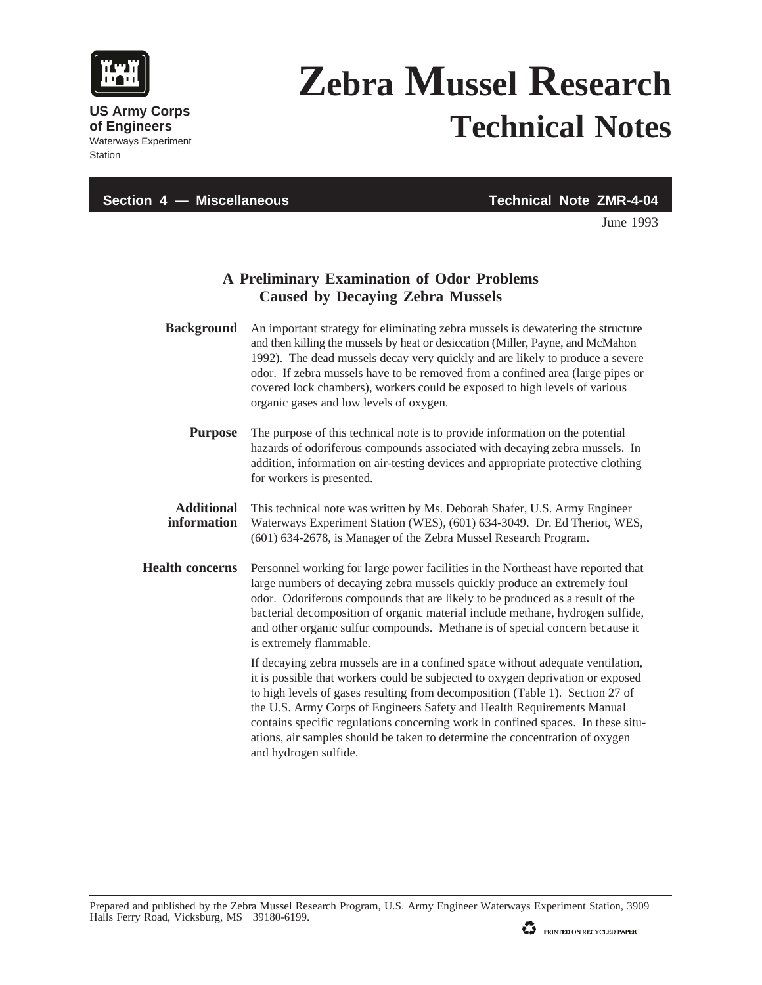

**Station** 

**US Army Corps of Engineers** Waterways Experiment

## **Zebra Mussel Research Technical Notes**

**Section 4 — Miscellaneous Technical Note ZMR-4-04**

June 1993

## **A Preliminary Examination of Odor Problems Caused by Decaying Zebra Mussels**

- **Background** An important strategy for eliminating zebra mussels is dewatering the structure and then killing the mussels by heat or desiccation (Miller, Payne, and McMahon 1992). The dead mussels decay very quickly and are likely to produce a severe odor. If zebra mussels have to be removed from a confined area (large pipes or covered lock chambers), workers could be exposed to high levels of various organic gases and low levels of oxygen. **Purpose** The purpose of this technical note is to provide information on the potential hazards of odoriferous compounds associated with decaying zebra mussels. In
	- addition, information on air-testing devices and appropriate protective clothing for workers is presented.

## **Additional** This technical note was written by Ms. Deborah Shafer, U.S. Army Engineer **information** Waterways Experiment Station (WES), (601) 634-3049. Dr. Ed Theriot, WES, (601) 634-2678, is Manager of the Zebra Mussel Research Program.

**Health concerns** Personnel working for large power facilities in the Northeast have reported that large numbers of decaying zebra mussels quickly produce an extremely foul odor. Odoriferous compounds that are likely to be produced as a result of the bacterial decomposition of organic material include methane, hydrogen sulfide, and other organic sulfur compounds. Methane is of special concern because it is extremely flammable.

> If decaying zebra mussels are in a confined space without adequate ventilation, it is possible that workers could be subjected to oxygen deprivation or exposed to high levels of gases resulting from decomposition (Table 1). Section 27 of the U.S. Army Corps of Engineers Safety and Health Requirements Manual contains specific regulations concerning work in confined spaces. In these situations, air samples should be taken to determine the concentration of oxygen and hydrogen sulfide.

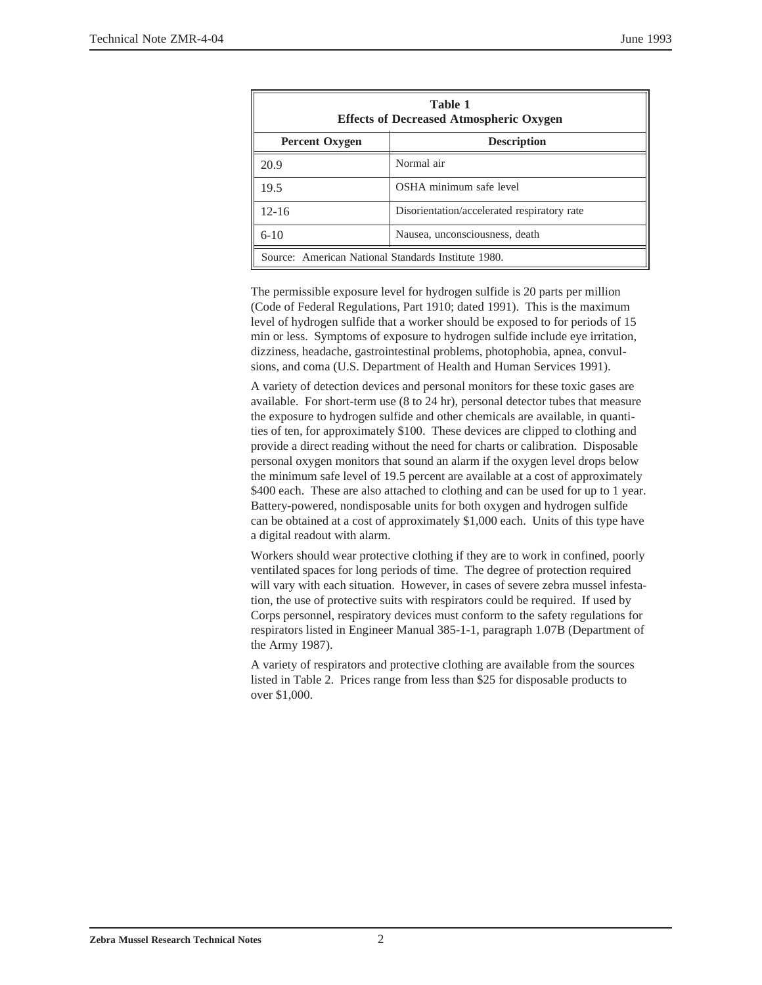| Table 1<br><b>Effects of Decreased Atmospheric Oxygen</b> |                                             |
|-----------------------------------------------------------|---------------------------------------------|
| <b>Percent Oxygen</b>                                     | <b>Description</b>                          |
| 20.9                                                      | Normal air                                  |
| 19.5                                                      | OSHA minimum safe level                     |
| $12 - 16$                                                 | Disorientation/accelerated respiratory rate |
| $6 - 10$                                                  | Nausea, unconsciousness, death              |
| Source: American National Standards Institute 1980.       |                                             |

The permissible exposure level for hydrogen sulfide is 20 parts per million (Code of Federal Regulations, Part 1910; dated 1991). This is the maximum level of hydrogen sulfide that a worker should be exposed to for periods of 15 min or less. Symptoms of exposure to hydrogen sulfide include eye irritation, dizziness, headache, gastrointestinal problems, photophobia, apnea, convulsions, and coma (U.S. Department of Health and Human Services 1991).

A variety of detection devices and personal monitors for these toxic gases are available. For short-term use (8 to 24 hr), personal detector tubes that measure the exposure to hydrogen sulfide and other chemicals are available, in quantities of ten, for approximately \$100. These devices are clipped to clothing and provide a direct reading without the need for charts or calibration. Disposable personal oxygen monitors that sound an alarm if the oxygen level drops below the minimum safe level of 19.5 percent are available at a cost of approximately \$400 each. These are also attached to clothing and can be used for up to 1 year. Battery-powered, nondisposable units for both oxygen and hydrogen sulfide can be obtained at a cost of approximately \$1,000 each. Units of this type have a digital readout with alarm.

Workers should wear protective clothing if they are to work in confined, poorly ventilated spaces for long periods of time. The degree of protection required will vary with each situation. However, in cases of severe zebra mussel infestation, the use of protective suits with respirators could be required. If used by Corps personnel, respiratory devices must conform to the safety regulations for respirators listed in Engineer Manual 385-1-1, paragraph 1.07B (Department of the Army 1987).

A variety of respirators and protective clothing are available from the sources listed in Table 2. Prices range from less than \$25 for disposable products to over \$1,000.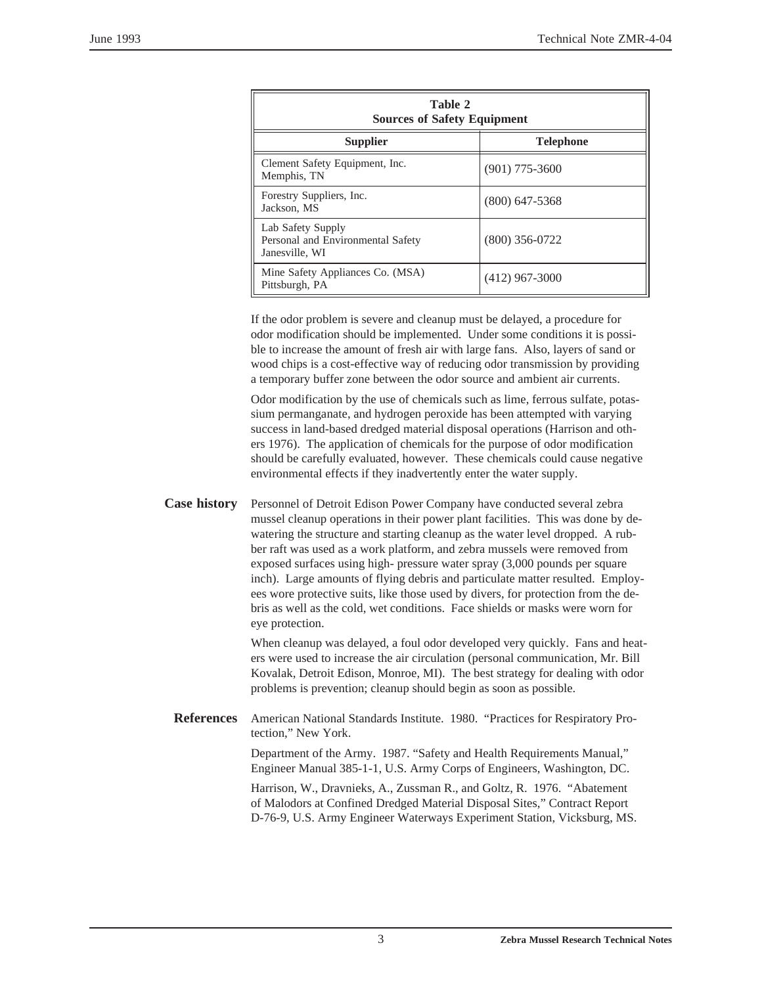| Table 2<br><b>Sources of Safety Equipment</b>                            |                  |  |
|--------------------------------------------------------------------------|------------------|--|
| <b>Supplier</b>                                                          | <b>Telephone</b> |  |
| Clement Safety Equipment, Inc.<br>Memphis, TN                            | $(901)$ 775-3600 |  |
| Forestry Suppliers, Inc.<br>Jackson, MS                                  | $(800)$ 647-5368 |  |
| Lab Safety Supply<br>Personal and Environmental Safety<br>Janesville, WI | $(800)$ 356-0722 |  |
| Mine Safety Appliances Co. (MSA)<br>Pittsburgh, PA                       | $(412)$ 967-3000 |  |

If the odor problem is severe and cleanup must be delayed, a procedure for odor modification should be implemented. Under some conditions it is possible to increase the amount of fresh air with large fans. Also, layers of sand or wood chips is a cost-effective way of reducing odor transmission by providing a temporary buffer zone between the odor source and ambient air currents.

Odor modification by the use of chemicals such as lime, ferrous sulfate, potassium permanganate, and hydrogen peroxide has been attempted with varying success in land-based dredged material disposal operations (Harrison and others 1976). The application of chemicals for the purpose of odor modification should be carefully evaluated, however. These chemicals could cause negative environmental effects if they inadvertently enter the water supply.

**Case history** Personnel of Detroit Edison Power Company have conducted several zebra mussel cleanup operations in their power plant facilities. This was done by dewatering the structure and starting cleanup as the water level dropped. A rubber raft was used as a work platform, and zebra mussels were removed from exposed surfaces using high- pressure water spray (3,000 pounds per square inch). Large amounts of flying debris and particulate matter resulted. Employees wore protective suits, like those used by divers, for protection from the debris as well as the cold, wet conditions. Face shields or masks were worn for eye protection.

> When cleanup was delayed, a foul odor developed very quickly. Fans and heaters were used to increase the air circulation (personal communication, Mr. Bill Kovalak, Detroit Edison, Monroe, MI). The best strategy for dealing with odor problems is prevention; cleanup should begin as soon as possible.

**References** American National Standards Institute. 1980. "Practices for Respiratory Protection," New York.

> Department of the Army. 1987. "Safety and Health Requirements Manual," Engineer Manual 385-1-1, U.S. Army Corps of Engineers, Washington, DC.

Harrison, W., Dravnieks, A., Zussman R., and Goltz, R. 1976. "Abatement of Malodors at Confined Dredged Material Disposal Sites," Contract Report D-76-9, U.S. Army Engineer Waterways Experiment Station, Vicksburg, MS.